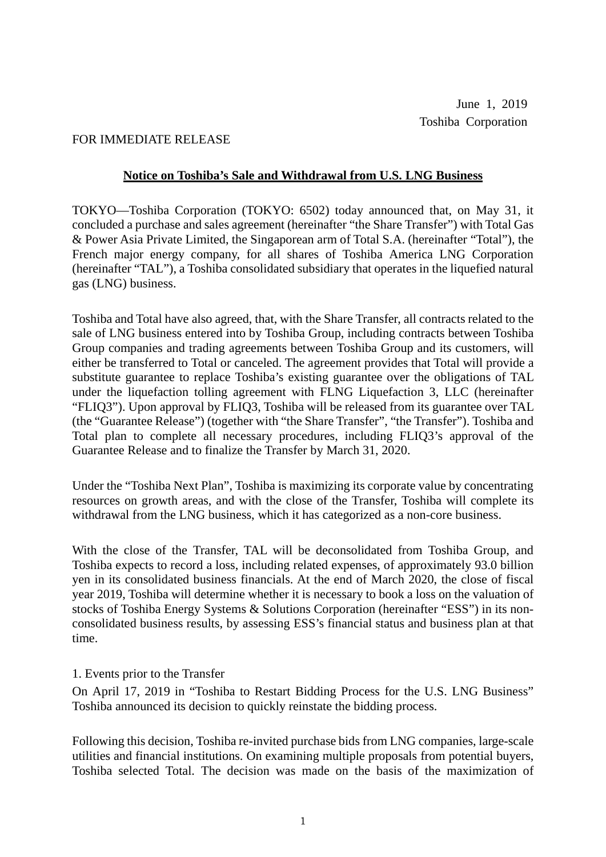#### FOR IMMEDIATE RELEASE

#### **Notice on Toshiba's Sale and Withdrawal from U.S. LNG Business**

TOKYO—Toshiba Corporation (TOKYO: 6502) today announced that, on May 31, it concluded a purchase and sales agreement (hereinafter "the Share Transfer") with Total Gas & Power Asia Private Limited, the Singaporean arm of Total S.A. (hereinafter "Total"), the French major energy company, for all shares of Toshiba America LNG Corporation (hereinafter "TAL"), a Toshiba consolidated subsidiary that operates in the liquefied natural gas (LNG) business.

Toshiba and Total have also agreed, that, with the Share Transfer, all contracts related to the sale of LNG business entered into by Toshiba Group, including contracts between Toshiba Group companies and trading agreements between Toshiba Group and its customers, will either be transferred to Total or canceled. The agreement provides that Total will provide a substitute guarantee to replace Toshiba's existing guarantee over the obligations of TAL under the liquefaction tolling agreement with FLNG Liquefaction 3, LLC (hereinafter "FLIQ3"). Upon approval by FLIQ3, Toshiba will be released from its guarantee over TAL (the "Guarantee Release") (together with "the Share Transfer", "the Transfer"). Toshiba and Total plan to complete all necessary procedures, including FLIQ3's approval of the Guarantee Release and to finalize the Transfer by March 31, 2020.

Under the "Toshiba Next Plan", Toshiba is maximizing its corporate value by concentrating resources on growth areas, and with the close of the Transfer, Toshiba will complete its withdrawal from the LNG business, which it has categorized as a non-core business.

With the close of the Transfer, TAL will be deconsolidated from Toshiba Group, and Toshiba expects to record a loss, including related expenses, of approximately 93.0 billion yen in its consolidated business financials. At the end of March 2020, the close of fiscal year 2019, Toshiba will determine whether it is necessary to book a loss on the valuation of stocks of Toshiba Energy Systems & Solutions Corporation (hereinafter "ESS") in its nonconsolidated business results, by assessing ESS's financial status and business plan at that time.

#### 1. Events prior to the Transfer

On April 17, 2019 in "Toshiba to Restart Bidding Process for the U.S. LNG Business" Toshiba announced its decision to quickly reinstate the bidding process.

Following this decision, Toshiba re-invited purchase bids from LNG companies, large-scale utilities and financial institutions. On examining multiple proposals from potential buyers, Toshiba selected Total. The decision was made on the basis of the maximization of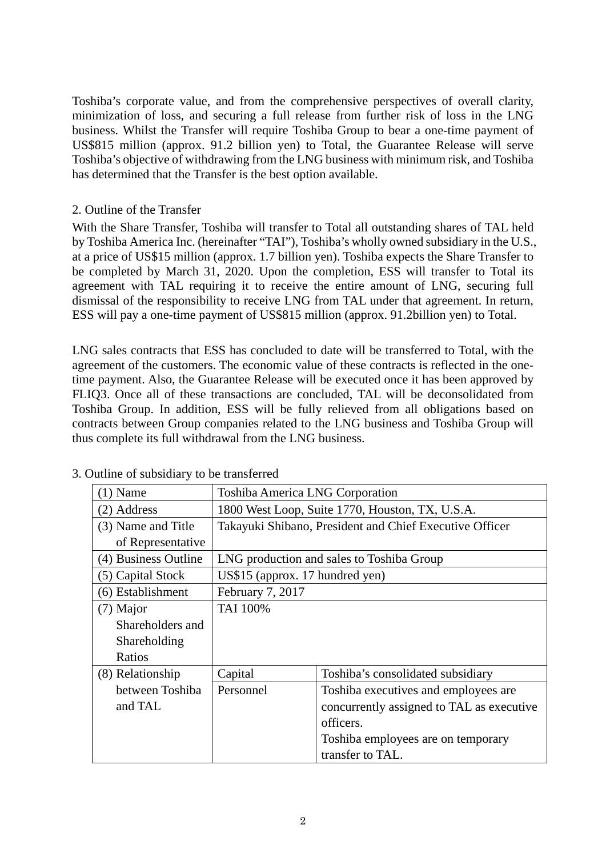Toshiba's corporate value, and from the comprehensive perspectives of overall clarity, minimization of loss, and securing a full release from further risk of loss in the LNG business. Whilst the Transfer will require Toshiba Group to bear a one-time payment of US\$815 million (approx. 91.2 billion yen) to Total, the Guarantee Release will serve Toshiba's objective of withdrawing from the LNG business with minimum risk, and Toshiba has determined that the Transfer is the best option available.

#### 2. Outline of the Transfer

With the Share Transfer, Toshiba will transfer to Total all outstanding shares of TAL held by Toshiba America Inc. (hereinafter "TAI"), Toshiba's wholly owned subsidiary in the U.S., at a price of US\$15 million (approx. 1.7 billion yen). Toshiba expects the Share Transfer to be completed by March 31, 2020. Upon the completion, ESS will transfer to Total its agreement with TAL requiring it to receive the entire amount of LNG, securing full dismissal of the responsibility to receive LNG from TAL under that agreement. In return, ESS will pay a one-time payment of US\$815 million (approx. 91.2billion yen) to Total.

LNG sales contracts that ESS has concluded to date will be transferred to Total, with the agreement of the customers. The economic value of these contracts is reflected in the onetime payment. Also, the Guarantee Release will be executed once it has been approved by FLIQ3. Once all of these transactions are concluded, TAL will be deconsolidated from Toshiba Group. In addition, ESS will be fully relieved from all obligations based on contracts between Group companies related to the LNG business and Toshiba Group will thus complete its full withdrawal from the LNG business.

| $(1)$ Name           | <b>Toshiba America LNG Corporation</b>                  |                                           |
|----------------------|---------------------------------------------------------|-------------------------------------------|
| (2) Address          | 1800 West Loop, Suite 1770, Houston, TX, U.S.A.         |                                           |
| (3) Name and Title   | Takayuki Shibano, President and Chief Executive Officer |                                           |
| of Representative    |                                                         |                                           |
| (4) Business Outline | LNG production and sales to Toshiba Group               |                                           |
| (5) Capital Stock    | US\$15 (approx. 17 hundred yen)                         |                                           |
| (6) Establishment    | February 7, 2017                                        |                                           |
| (7) Major            | <b>TAI</b> 100%                                         |                                           |
| Shareholders and     |                                                         |                                           |
| Shareholding         |                                                         |                                           |
| Ratios               |                                                         |                                           |
| (8) Relationship     | Capital                                                 | Toshiba's consolidated subsidiary         |
| between Toshiba      | Personnel                                               | Toshiba executives and employees are      |
| and TAL              |                                                         | concurrently assigned to TAL as executive |
|                      |                                                         | officers.                                 |
|                      |                                                         | Toshiba employees are on temporary        |
|                      |                                                         | transfer to TAL.                          |

#### 3. Outline of subsidiary to be transferred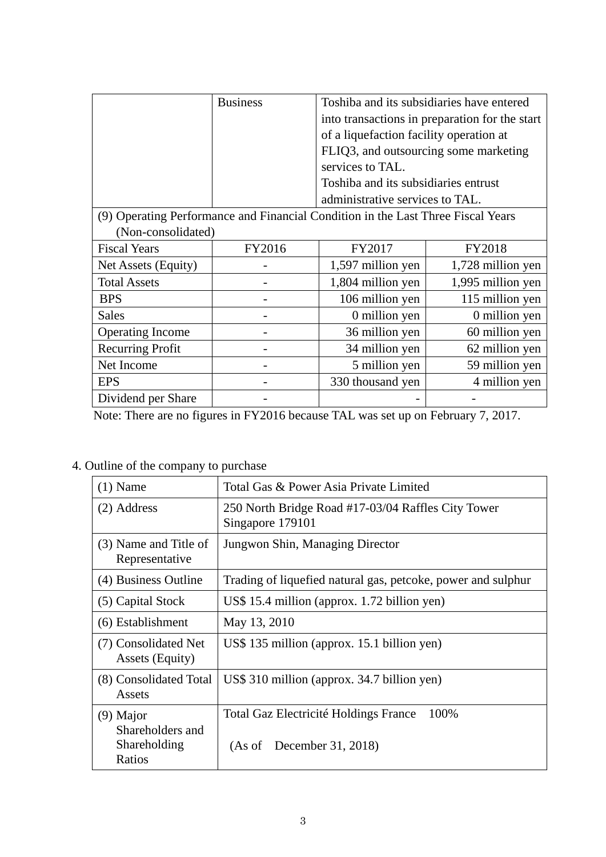|                                                                                  | <b>Business</b> |                                         | Toshiba and its subsidiaries have entered      |
|----------------------------------------------------------------------------------|-----------------|-----------------------------------------|------------------------------------------------|
|                                                                                  |                 |                                         | into transactions in preparation for the start |
|                                                                                  |                 | of a liquefaction facility operation at |                                                |
|                                                                                  |                 | FLIQ3, and outsourcing some marketing   |                                                |
|                                                                                  |                 | services to TAL.                        |                                                |
|                                                                                  |                 | Toshiba and its subsidiaries entrust    |                                                |
|                                                                                  |                 | administrative services to TAL.         |                                                |
| (9) Operating Performance and Financial Condition in the Last Three Fiscal Years |                 |                                         |                                                |
| (Non-consolidated)                                                               |                 |                                         |                                                |
| <b>Fiscal Years</b>                                                              | FY2016          | FY2017                                  | <b>FY2018</b>                                  |
| Net Assets (Equity)                                                              |                 | 1,597 million yen                       | 1,728 million yen                              |
| <b>Total Assets</b>                                                              |                 | 1,804 million yen                       | 1,995 million yen                              |
| <b>BPS</b>                                                                       |                 | 106 million yen                         | 115 million yen                                |
| <b>Sales</b>                                                                     |                 | 0 million yen                           | 0 million yen                                  |
| <b>Operating Income</b>                                                          |                 | 36 million yen                          | 60 million yen                                 |
| <b>Recurring Profit</b>                                                          |                 | 34 million yen                          | 62 million yen                                 |
| Net Income                                                                       |                 | 5 million yen                           | 59 million yen                                 |
| <b>EPS</b>                                                                       |                 | 330 thousand yen                        | 4 million yen                                  |
| Dividend per Share                                                               |                 |                                         |                                                |

Note: There are no figures in FY2016 because TAL was set up on February 7, 2017.

# 4. Outline of the company to purchase

| $(1)$ Name                                                | Total Gas & Power Asia Private Limited                                     |  |
|-----------------------------------------------------------|----------------------------------------------------------------------------|--|
| (2) Address                                               | 250 North Bridge Road #17-03/04 Raffles City Tower<br>Singapore 179101     |  |
| (3) Name and Title of<br>Representative                   | Jungwon Shin, Managing Director                                            |  |
| (4) Business Outline                                      | Trading of liquefied natural gas, petcoke, power and sulphur               |  |
| (5) Capital Stock                                         | US\$ 15.4 million (approx. 1.72 billion yen)                               |  |
| (6) Establishment                                         | May 13, 2010                                                               |  |
| (7) Consolidated Net<br>Assets (Equity)                   | US\$ 135 million (approx. 15.1 billion yen)                                |  |
| (8) Consolidated Total<br>Assets                          | US\$ 310 million (approx. 34.7 billion yen)                                |  |
| $(9)$ Major<br>Shareholders and<br>Shareholding<br>Ratios | 100%<br>Total Gaz Electricité Holdings France<br>(As of December 31, 2018) |  |